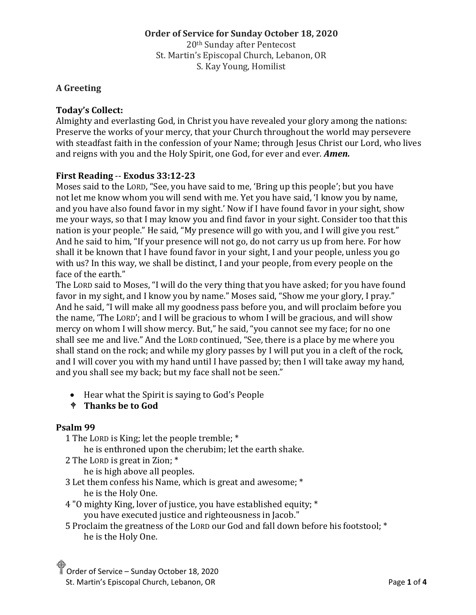### **Order of Service for Sunday October 18, 2020**

20th Sunday after Pentecost St. Martin's Episcopal Church, Lebanon, OR S. Kay Young, Homilist

### **A Greeting**

### **Today's Collect:**

Almighty and everlasting God, in Christ you have revealed your glory among the nations: Preserve the works of your mercy, that your Church throughout the world may persevere with steadfast faith in the confession of your Name; through Jesus Christ our Lord, who lives and reigns with you and the Holy Spirit, one God, for ever and ever*. Amen.*

#### **First Reading** -- **Exodus 33:12-23**

Moses said to the LORD, "See, you have said to me, 'Bring up this people'; but you have not let me know whom you will send with me. Yet you have said, 'I know you by name, and you have also found favor in my sight.' Now if I have found favor in your sight, show me your ways, so that I may know you and find favor in your sight. Consider too that this nation is your people." He said, "My presence will go with you, and I will give you rest." And he said to him, "If your presence will not go, do not carry us up from here. For how shall it be known that I have found favor in your sight, I and your people, unless you go with us? In this way, we shall be distinct, I and your people, from every people on the face of the earth."

The LORD said to Moses, "I will do the very thing that you have asked; for you have found favor in my sight, and I know you by name." Moses said, "Show me your glory, I pray." And he said, "I will make all my goodness pass before you, and will proclaim before you the name, 'The LORD'; and I will be gracious to whom I will be gracious, and will show mercy on whom I will show mercy. But," he said, "you cannot see my face; for no one shall see me and live." And the LORD continued, "See, there is a place by me where you shall stand on the rock; and while my glory passes by I will put you in a cleft of the rock, and I will cover you with my hand until I have passed by; then I will take away my hand, and you shall see my back; but my face shall not be seen."

• Hear what the Spirit is saying to God's People

# **Thanks be to God**

#### **Psalm 99**

1 The LORD is King; let the people tremble; \*

he is enthroned upon the cherubim; let the earth shake.

- 2 The LORD is great in Zion; \*
	- he is high above all peoples.
- 3 Let them confess his Name, which is great and awesome; \* he is the Holy One.
- 4 "O mighty King, lover of justice, you have established equity; \* you have executed justice and righteousness in Jacob."
- 5 Proclaim the greatness of the LORD our God and fall down before his footstool; \* he is the Holy One.

Order of Service – Sunday October 18, 2020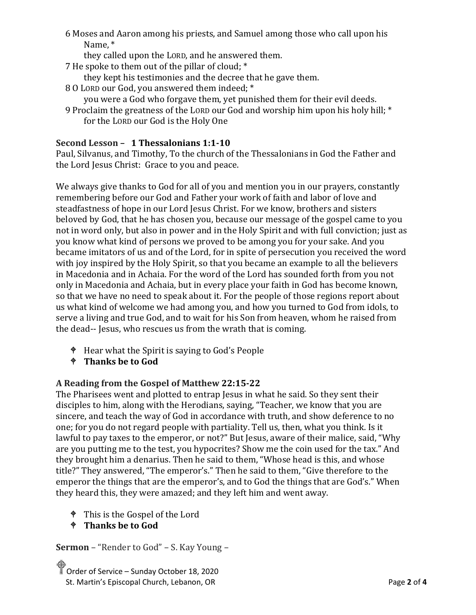- 6 Moses and Aaron among his priests, and Samuel among those who call upon his Name, \*
	- they called upon the LORD, and he answered them.
- 7 He spoke to them out of the pillar of cloud; \*
	- they kept his testimonies and the decree that he gave them.
- 8 O LORD our God, you answered them indeed; \*
- you were a God who forgave them, yet punished them for their evil deeds. 9 Proclaim the greatness of the LORD our God and worship him upon his holy hill; \* for the LORD our God is the Holy One

### **Second Lesson – 1 Thessalonians 1:1-10**

Paul, Silvanus, and Timothy, To the church of the Thessalonians in God the Father and the Lord Jesus Christ: Grace to you and peace.

We always give thanks to God for all of you and mention you in our prayers, constantly remembering before our God and Father your work of faith and labor of love and steadfastness of hope in our Lord Jesus Christ. For we know, brothers and sisters beloved by God, that he has chosen you, because our message of the gospel came to you not in word only, but also in power and in the Holy Spirit and with full conviction; just as you know what kind of persons we proved to be among you for your sake. And you became imitators of us and of the Lord, for in spite of persecution you received the word with joy inspired by the Holy Spirit, so that you became an example to all the believers in Macedonia and in Achaia. For the word of the Lord has sounded forth from you not only in Macedonia and Achaia, but in every place your faith in God has become known, so that we have no need to speak about it. For the people of those regions report about us what kind of welcome we had among you, and how you turned to God from idols, to serve a living and true God, and to wait for his Son from heaven, whom he raised from the dead-- Jesus, who rescues us from the wrath that is coming.

- Hear what the Spirit is saying to God's People
- **Thanks be to God**

#### **A Reading from the Gospel of Matthew 22:15-22**

The Pharisees went and plotted to entrap Jesus in what he said. So they sent their disciples to him, along with the Herodians, saying, "Teacher, we know that you are sincere, and teach the way of God in accordance with truth, and show deference to no one; for you do not regard people with partiality. Tell us, then, what you think. Is it lawful to pay taxes to the emperor, or not?" But Jesus, aware of their malice, said, "Why are you putting me to the test, you hypocrites? Show me the coin used for the tax." And they brought him a denarius. Then he said to them, "Whose head is this, and whose title?" They answered, "The emperor's." Then he said to them, "Give therefore to the emperor the things that are the emperor's, and to God the things that are God's." When they heard this, they were amazed; and they left him and went away.

- This is the Gospel of the Lord
- **Thanks be to God**

**Sermon** – "Render to God" – S. Kay Young –

Order of Service – Sunday October 18, 2020 St. Martin's Episcopal Church, Lebanon, OR **Page 2** of 4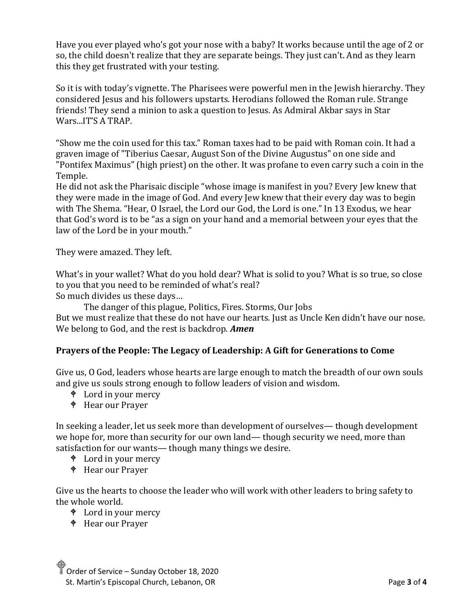Have you ever played who's got your nose with a baby? It works because until the age of 2 or so, the child doesn't realize that they are separate beings. They just can't. And as they learn this they get frustrated with your testing.

So it is with today's vignette. The Pharisees were powerful men in the Jewish hierarchy. They considered Jesus and his followers upstarts. Herodians followed the Roman rule. Strange friends! They send a minion to ask a question to Jesus. As Admiral Akbar says in Star Wars...IT'S A TRAP.

"Show me the coin used for this tax." Roman taxes had to be paid with Roman coin. It had a graven image of "Tiberius Caesar, August Son of the Divine Augustus" on one side and "Pontifex Maximus" (high priest) on the other. It was profane to even carry such a coin in the Temple.

He did not ask the Pharisaic disciple "whose image is manifest in you? Every Jew knew that they were made in the image of God. And every Jew knew that their every day was to begin with The Shema. "Hear, O Israel, the Lord our God, the Lord is one." In 13 Exodus, we hear that God's word is to be "as a sign on your hand and a memorial between your eyes that the law of the Lord be in your mouth."

They were amazed. They left.

What's in your wallet? What do you hold dear? What is solid to you? What is so true, so close to you that you need to be reminded of what's real?

So much divides us these days…

The danger of this plague, Politics, Fires. Storms, Our Jobs

But we must realize that these do not have our hearts. Just as Uncle Ken didn't have our nose. We belong to God, and the rest is backdrop. *Amen*

# **Prayers of the People: The Legacy of Leadership: A Gift for Generations to Come**

Give us, O God, leaders whose hearts are large enough to match the breadth of our own souls and give us souls strong enough to follow leaders of vision and wisdom.

- <sup> $\bullet$ </sup> Lord in your mercy
- ♦ Hear our Prayer

In seeking a leader, let us seek more than development of ourselves— though development we hope for, more than security for our own land— though security we need, more than satisfaction for our wants— though many things we desire.

- Lord in your mercy
- Hear our Prayer

Give us the hearts to choose the leader who will work with other leaders to bring safety to the whole world.

- Lord in your mercy
- Hear our Prayer